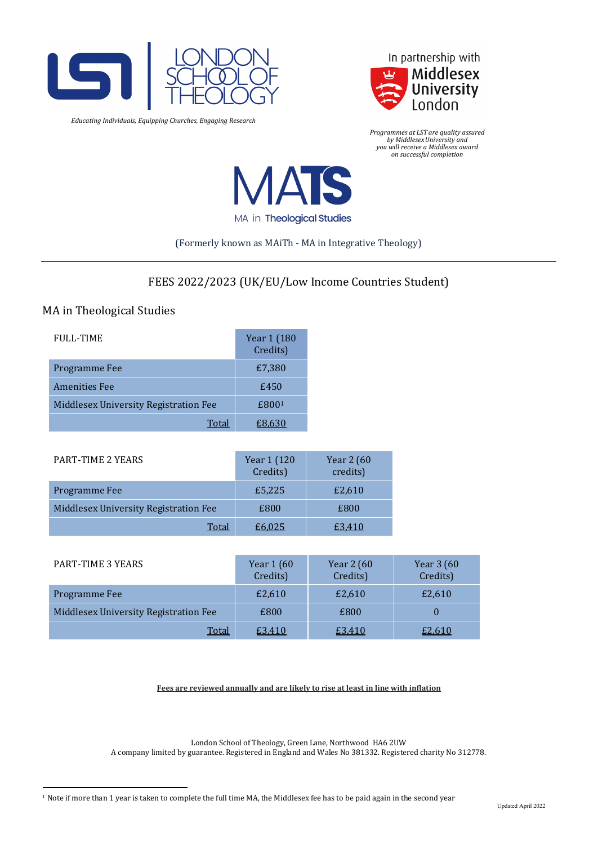

*Educating Individuals, Equipping Churches, Engaging Research*



*Programmes at LST are quality assured by MiddlesexUniversity and you will receive a Middlesex award on successful completion*



# (Formerly known as MAiTh - MA in Integrative Theology)

# FEES 2022/2023 (UK/EU/Low Income Countries Student)

# MA in Theological Studies

| <b>FULL-TIME</b>                      | Year 1 (180<br>Credits) |
|---------------------------------------|-------------------------|
| Programme Fee                         | £7,380                  |
| <b>Amenities Fee</b>                  | £450                    |
| Middlesex University Registration Fee | £800 <sup>1</sup>       |
| Total                                 | £8.630                  |

| <b>PART-TIME 2 YEARS</b>              | Year 1 (120<br>Credits) | Year 2 (60<br>credits) |
|---------------------------------------|-------------------------|------------------------|
| Programme Fee                         | £5,225                  | £2,610                 |
| Middlesex University Registration Fee | £800                    | £800                   |
| Total                                 | £6.025                  | £3.410                 |

| PART-TIME 3 YEARS                     | Year 1 (60<br>Credits) | Year 2 (60<br>Credits) | Year 3 (60<br>Credits) |
|---------------------------------------|------------------------|------------------------|------------------------|
| Programme Fee                         | £2,610                 | £2,610                 | £2,610                 |
| Middlesex University Registration Fee | £800                   | £800                   |                        |
| Total                                 | £3,410                 | £3,410                 | £2,610                 |

**Fees are reviewed annually and are likely to rise at least in line with inflation**

London School of Theology, Green Lane, Northwood HA6 2UW A company limited by guarantee. Registered in England and Wales No 381332. Registered charity No 312778.

<span id="page-0-0"></span><sup>1</sup> Note if more than 1 year is taken to complete the full time MA, the Middlesex fee has to be paid again in the second year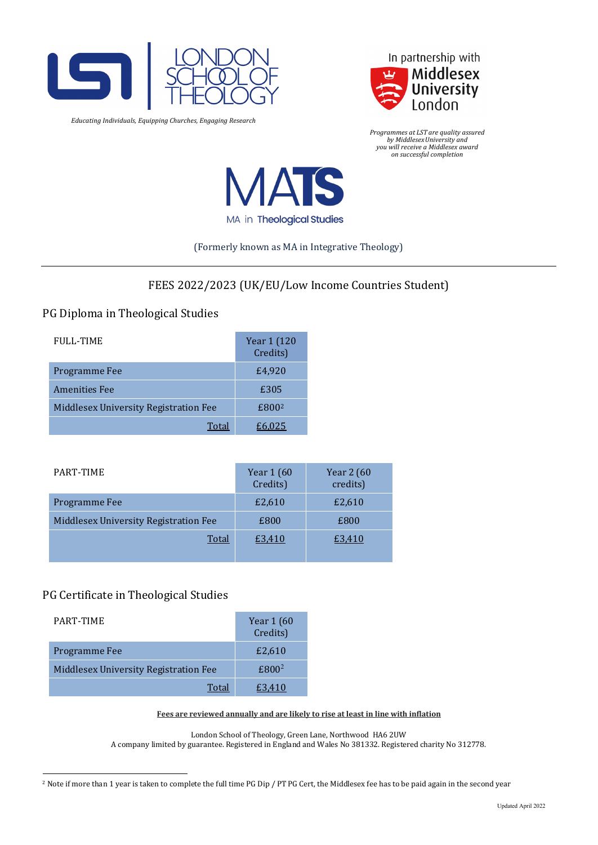

*Educating Individuals, Equipping Churches, Engaging Research*



*Programmes at LST are quality assured by MiddlesexUniversity and you will receive a Middlesex award on successful completion*



### (Formerly known as MA in Integrative Theology)

# FEES 2022/2023 (UK/EU/Low Income Countries Student)

# PG Diploma in Theological Studies

| <b>FULL-TIME</b>                      | Year 1 (120<br>Credits) |
|---------------------------------------|-------------------------|
| Programme Fee                         | £4,920                  |
| <b>Amenities Fee</b>                  | £305                    |
| Middlesex University Registration Fee | £800 <sup>2</sup>       |
| Total                                 | E6.025                  |

| PART-TIME                             | Year 1 (60<br>Credits) | Year 2 (60<br>credits) |
|---------------------------------------|------------------------|------------------------|
| Programme Fee                         | £2,610                 | £2,610                 |
| Middlesex University Registration Fee | £800                   | £800                   |
| Total                                 | £3.410                 | £3.410                 |

# PG Certificate in Theological Studies

| PART-TIME                             | Year 1 (60<br>Credits) |
|---------------------------------------|------------------------|
| Programme Fee                         | £2,610                 |
| Middlesex University Registration Fee | £800 <sup>2</sup>      |
| Total                                 | £3.410                 |

#### **Fees are reviewed annually and are likely to rise at least in line with inflation**

London School of Theology, Green Lane, Northwood HA6 2UW A company limited by guarantee. Registered in England and Wales No 381332. Registered charity No 312778.

<span id="page-1-0"></span><sup>&</sup>lt;sup>2</sup> Note if more than 1 year is taken to complete the full time PG Dip / PT PG Cert, the Middlesex fee has to be paid again in the second year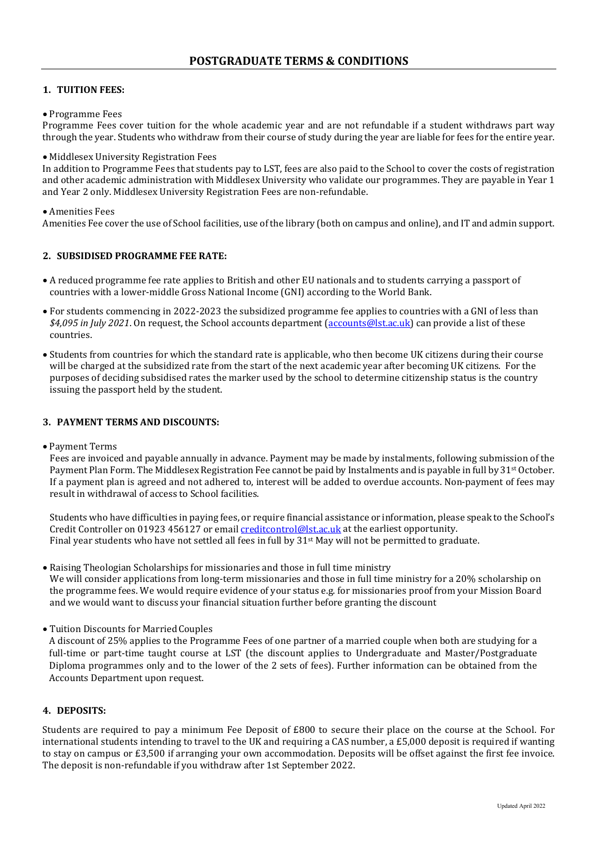# **1. TUITION FEES:**

#### • Programme Fees

Programme Fees cover tuition for the whole academic year and are not refundable if a student withdraws part way through the year. Students who withdraw from their course of study during the year are liable for fees for the entire year.

#### • Middlesex University Registration Fees

In addition to Programme Fees that students pay to LST, fees are also paid to the School to cover the costs of registration and other academic administration with Middlesex University who validate our programmes. They are payable in Year 1 and Year 2 only. Middlesex University Registration Fees are non-refundable.

### • Amenities Fees

Amenities Fee cover the use of School facilities, use of the library (both on campus and online), and IT and admin support.

# **2. SUBSIDISED PROGRAMME FEE RATE:**

- A reduced programme fee rate applies to British and other EU nationals and to students carrying a passport of countries with a lower-middle Gross National Income (GNI) according to the World Bank.
- For students commencing in 2022-2023 the subsidized programme fee applies to countries with a GNI of less than *\$4,095 in July 2021*. On request, the School accounts department [\(accounts@lst.ac.uk\)](mailto:accounts@lst.ac.uk) can provide a list of these countries.
- Students from countries for which the standard rate is applicable, who then become UK citizens during their course will be charged at the subsidized rate from the start of the next academic year after becoming UK citizens. For the purposes of deciding subsidised rates the marker used by the school to determine citizenship status is the country issuing the passport held by the student.

### **3. PAYMENT TERMS AND DISCOUNTS:**

• Payment Terms

Fees are invoiced and payable annually in advance. Payment may be made by instalments, following submission of the Payment Plan Form. The Middlesex Registration Fee cannot be paid by Instalments and is payable in full by 31<sup>st</sup> October. If a payment plan is agreed and not adhered to, interest will be added to overdue accounts. Non-payment of fees may result in withdrawal of access to School facilities.

Students who have difficulties in paying fees, or require financial assistance or information, please speak to the School's Credit Controller on 01923 456127 or email [creditcontrol@lst.ac.uk](mailto:creditcontrol@lst.ac.uk) at the earliest opportunity. Final year students who have not settled all fees in full by 31<sup>st</sup> May will not be permitted to graduate.

- Raising Theologian Scholarships for missionaries and those in full time ministry We will consider applications from long-term missionaries and those in full time ministry for a 20% scholarship on the programme fees. We would require evidence of your status e.g. for missionaries proof from your Mission Board and we would want to discuss your financial situation further before granting the discount
- Tuition Discounts for Married Couples

A discount of 25% applies to the Programme Fees of one partner of a married couple when both are studying for a full-time or part-time taught course at LST (the discount applies to Undergraduate and Master/Postgraduate Diploma programmes only and to the lower of the 2 sets of fees). Further information can be obtained from the Accounts Department upon request.

# **4. DEPOSITS:**

Students are required to pay a minimum Fee Deposit of £800 to secure their place on the course at the School. For international students intending to travel to the UK and requiring a CAS number, a £5,000 deposit is required if wanting to stay on campus or £3,500 if arranging your own accommodation. Deposits will be offset against the first fee invoice. The deposit is non-refundable if you withdraw after 1st September 2022.